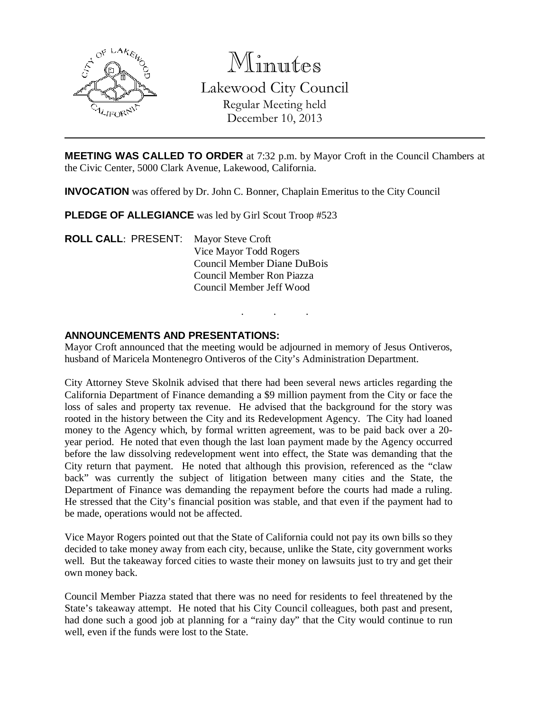

Minutes Lakewood City Council Regular Meeting held December 10, 2013

**MEETING WAS CALLED TO ORDER** at 7:32 p.m. by Mayor Croft in the Council Chambers at the Civic Center, 5000 Clark Avenue, Lakewood, California.

**INVOCATION** was offered by Dr. John C. Bonner, Chaplain Emeritus to the City Council

**PLEDGE OF ALLEGIANCE** was led by Girl Scout Troop #523

**ROLL CALL**: PRESENT: Mayor Steve Croft Vice Mayor Todd Rogers Council Member Diane DuBois Council Member Ron Piazza Council Member Jeff Wood

### **ANNOUNCEMENTS AND PRESENTATIONS:**

Mayor Croft announced that the meeting would be adjourned in memory of Jesus Ontiveros, husband of Maricela Montenegro Ontiveros of the City's Administration Department.

. . .

City Attorney Steve Skolnik advised that there had been several news articles regarding the California Department of Finance demanding a \$9 million payment from the City or face the loss of sales and property tax revenue. He advised that the background for the story was rooted in the history between the City and its Redevelopment Agency. The City had loaned money to the Agency which, by formal written agreement, was to be paid back over a 20 year period. He noted that even though the last loan payment made by the Agency occurred before the law dissolving redevelopment went into effect, the State was demanding that the City return that payment. He noted that although this provision, referenced as the "claw back" was currently the subject of litigation between many cities and the State, the Department of Finance was demanding the repayment before the courts had made a ruling. He stressed that the City's financial position was stable, and that even if the payment had to be made, operations would not be affected.

Vice Mayor Rogers pointed out that the State of California could not pay its own bills so they decided to take money away from each city, because, unlike the State, city government works well. But the takeaway forced cities to waste their money on lawsuits just to try and get their own money back.

Council Member Piazza stated that there was no need for residents to feel threatened by the State's takeaway attempt. He noted that his City Council colleagues, both past and present, had done such a good job at planning for a "rainy day" that the City would continue to run well, even if the funds were lost to the State.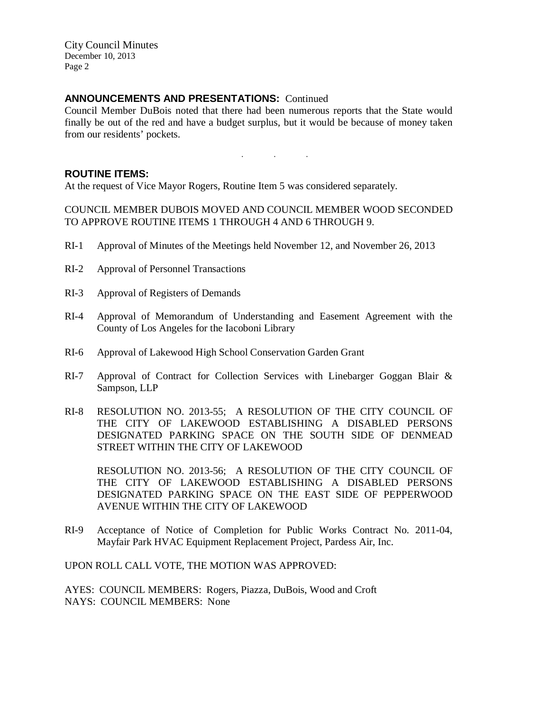### **ANNOUNCEMENTS AND PRESENTATIONS:** Continued

Council Member DuBois noted that there had been numerous reports that the State would finally be out of the red and have a budget surplus, but it would be because of money taken from our residents' pockets.

. . .

#### **ROUTINE ITEMS:**

At the request of Vice Mayor Rogers, Routine Item 5 was considered separately.

COUNCIL MEMBER DUBOIS MOVED AND COUNCIL MEMBER WOOD SECONDED TO APPROVE ROUTINE ITEMS 1 THROUGH 4 AND 6 THROUGH 9.

- RI-1 Approval of Minutes of the Meetings held November 12, and November 26, 2013
- RI-2 Approval of Personnel Transactions
- RI-3 Approval of Registers of Demands
- RI-4 Approval of Memorandum of Understanding and Easement Agreement with the County of Los Angeles for the Iacoboni Library
- RI-6 Approval of Lakewood High School Conservation Garden Grant
- RI-7 Approval of Contract for Collection Services with Linebarger Goggan Blair & Sampson, LLP
- RI-8 RESOLUTION NO. 2013-55; A RESOLUTION OF THE CITY COUNCIL OF THE CITY OF LAKEWOOD ESTABLISHING A DISABLED PERSONS DESIGNATED PARKING SPACE ON THE SOUTH SIDE OF DENMEAD STREET WITHIN THE CITY OF LAKEWOOD

RESOLUTION NO. 2013-56; A RESOLUTION OF THE CITY COUNCIL OF THE CITY OF LAKEWOOD ESTABLISHING A DISABLED PERSONS DESIGNATED PARKING SPACE ON THE EAST SIDE OF PEPPERWOOD AVENUE WITHIN THE CITY OF LAKEWOOD

RI-9 Acceptance of Notice of Completion for Public Works Contract No. 2011-04, Mayfair Park HVAC Equipment Replacement Project, Pardess Air, Inc.

UPON ROLL CALL VOTE, THE MOTION WAS APPROVED:

AYES: COUNCIL MEMBERS: Rogers, Piazza, DuBois, Wood and Croft NAYS: COUNCIL MEMBERS: None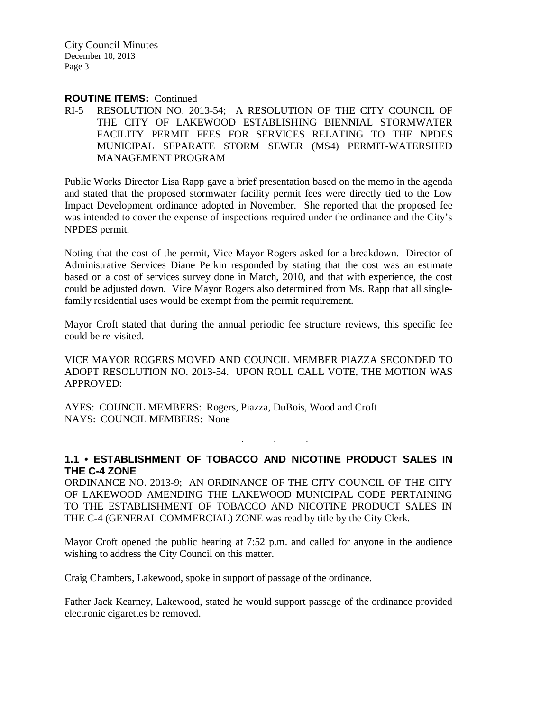#### **ROUTINE ITEMS:** Continued

RI-5 RESOLUTION NO. 2013-54; A RESOLUTION OF THE CITY COUNCIL OF THE CITY OF LAKEWOOD ESTABLISHING BIENNIAL STORMWATER FACILITY PERMIT FEES FOR SERVICES RELATING TO THE NPDES MUNICIPAL SEPARATE STORM SEWER (MS4) PERMIT-WATERSHED MANAGEMENT PROGRAM

Public Works Director Lisa Rapp gave a brief presentation based on the memo in the agenda and stated that the proposed stormwater facility permit fees were directly tied to the Low Impact Development ordinance adopted in November. She reported that the proposed fee was intended to cover the expense of inspections required under the ordinance and the City's NPDES permit.

Noting that the cost of the permit, Vice Mayor Rogers asked for a breakdown. Director of Administrative Services Diane Perkin responded by stating that the cost was an estimate based on a cost of services survey done in March, 2010, and that with experience, the cost could be adjusted down. Vice Mayor Rogers also determined from Ms. Rapp that all singlefamily residential uses would be exempt from the permit requirement.

Mayor Croft stated that during the annual periodic fee structure reviews, this specific fee could be re-visited.

VICE MAYOR ROGERS MOVED AND COUNCIL MEMBER PIAZZA SECONDED TO ADOPT RESOLUTION NO. 2013-54. UPON ROLL CALL VOTE, THE MOTION WAS APPROVED:

AYES: COUNCIL MEMBERS: Rogers, Piazza, DuBois, Wood and Croft NAYS: COUNCIL MEMBERS: None

### **1.1 • ESTABLISHMENT OF TOBACCO AND NICOTINE PRODUCT SALES IN THE C-4 ZONE**

. . .

ORDINANCE NO. 2013-9; AN ORDINANCE OF THE CITY COUNCIL OF THE CITY OF LAKEWOOD AMENDING THE LAKEWOOD MUNICIPAL CODE PERTAINING TO THE ESTABLISHMENT OF TOBACCO AND NICOTINE PRODUCT SALES IN THE C-4 (GENERAL COMMERCIAL) ZONE was read by title by the City Clerk.

Mayor Croft opened the public hearing at 7:52 p.m. and called for anyone in the audience wishing to address the City Council on this matter.

Craig Chambers, Lakewood, spoke in support of passage of the ordinance.

Father Jack Kearney, Lakewood, stated he would support passage of the ordinance provided electronic cigarettes be removed.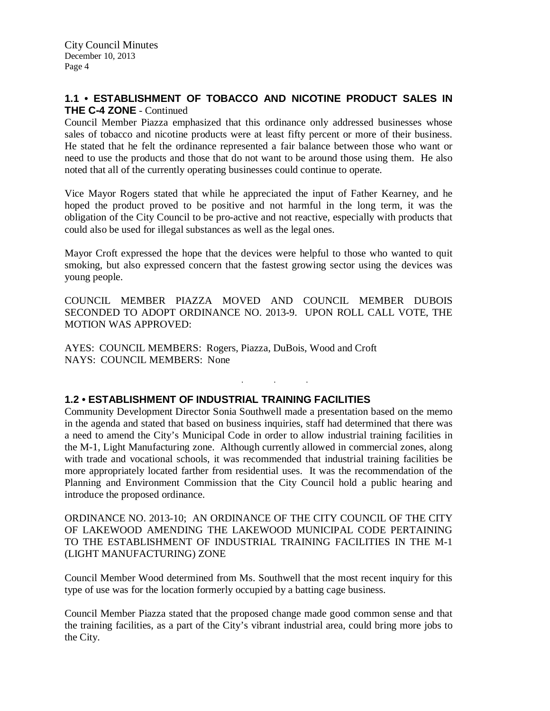### **1.1 • ESTABLISHMENT OF TOBACCO AND NICOTINE PRODUCT SALES IN THE C-4 ZONE** - Continued

Council Member Piazza emphasized that this ordinance only addressed businesses whose sales of tobacco and nicotine products were at least fifty percent or more of their business. He stated that he felt the ordinance represented a fair balance between those who want or need to use the products and those that do not want to be around those using them. He also noted that all of the currently operating businesses could continue to operate.

Vice Mayor Rogers stated that while he appreciated the input of Father Kearney, and he hoped the product proved to be positive and not harmful in the long term, it was the obligation of the City Council to be pro-active and not reactive, especially with products that could also be used for illegal substances as well as the legal ones.

Mayor Croft expressed the hope that the devices were helpful to those who wanted to quit smoking, but also expressed concern that the fastest growing sector using the devices was young people.

COUNCIL MEMBER PIAZZA MOVED AND COUNCIL MEMBER DUBOIS SECONDED TO ADOPT ORDINANCE NO. 2013-9. UPON ROLL CALL VOTE, THE MOTION WAS APPROVED:

. . .

AYES: COUNCIL MEMBERS: Rogers, Piazza, DuBois, Wood and Croft NAYS: COUNCIL MEMBERS: None

### **1.2 • ESTABLISHMENT OF INDUSTRIAL TRAINING FACILITIES**

Community Development Director Sonia Southwell made a presentation based on the memo in the agenda and stated that based on business inquiries, staff had determined that there was a need to amend the City's Municipal Code in order to allow industrial training facilities in the M-1, Light Manufacturing zone. Although currently allowed in commercial zones, along with trade and vocational schools, it was recommended that industrial training facilities be more appropriately located farther from residential uses. It was the recommendation of the Planning and Environment Commission that the City Council hold a public hearing and introduce the proposed ordinance.

ORDINANCE NO. 2013-10; AN ORDINANCE OF THE CITY COUNCIL OF THE CITY OF LAKEWOOD AMENDING THE LAKEWOOD MUNICIPAL CODE PERTAINING TO THE ESTABLISHMENT OF INDUSTRIAL TRAINING FACILITIES IN THE M-1 (LIGHT MANUFACTURING) ZONE

Council Member Wood determined from Ms. Southwell that the most recent inquiry for this type of use was for the location formerly occupied by a batting cage business.

Council Member Piazza stated that the proposed change made good common sense and that the training facilities, as a part of the City's vibrant industrial area, could bring more jobs to the City.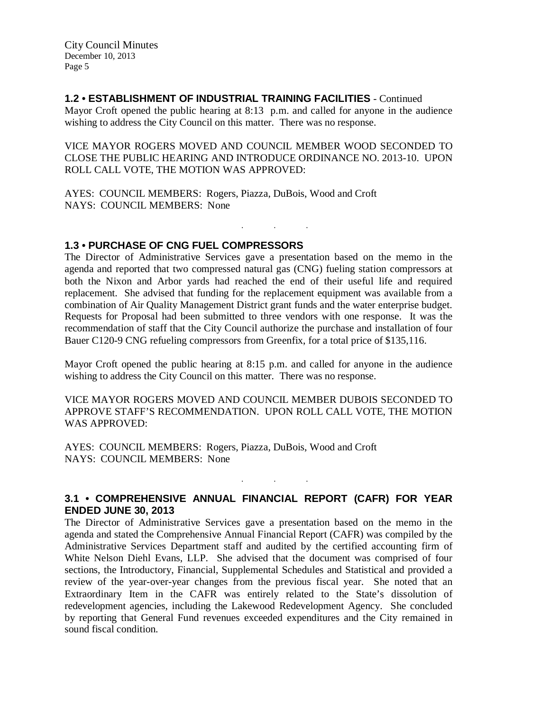### **1.2 • ESTABLISHMENT OF INDUSTRIAL TRAINING FACILITIES** - Continued

Mayor Croft opened the public hearing at 8:13 p.m. and called for anyone in the audience wishing to address the City Council on this matter. There was no response.

VICE MAYOR ROGERS MOVED AND COUNCIL MEMBER WOOD SECONDED TO CLOSE THE PUBLIC HEARING AND INTRODUCE ORDINANCE NO. 2013-10. UPON ROLL CALL VOTE, THE MOTION WAS APPROVED:

. . .

AYES: COUNCIL MEMBERS: Rogers, Piazza, DuBois, Wood and Croft NAYS: COUNCIL MEMBERS: None

### **1.3 • PURCHASE OF CNG FUEL COMPRESSORS**

The Director of Administrative Services gave a presentation based on the memo in the agenda and reported that two compressed natural gas (CNG) fueling station compressors at both the Nixon and Arbor yards had reached the end of their useful life and required replacement. She advised that funding for the replacement equipment was available from a combination of Air Quality Management District grant funds and the water enterprise budget. Requests for Proposal had been submitted to three vendors with one response. It was the recommendation of staff that the City Council authorize the purchase and installation of four Bauer C120-9 CNG refueling compressors from Greenfix, for a total price of \$135,116.

Mayor Croft opened the public hearing at 8:15 p.m. and called for anyone in the audience wishing to address the City Council on this matter. There was no response.

VICE MAYOR ROGERS MOVED AND COUNCIL MEMBER DUBOIS SECONDED TO APPROVE STAFF'S RECOMMENDATION. UPON ROLL CALL VOTE, THE MOTION WAS APPROVED:

AYES: COUNCIL MEMBERS: Rogers, Piazza, DuBois, Wood and Croft NAYS: COUNCIL MEMBERS: None

# **3.1 • COMPREHENSIVE ANNUAL FINANCIAL REPORT (CAFR) FOR YEAR ENDED JUNE 30, 2013**

. . .

The Director of Administrative Services gave a presentation based on the memo in the agenda and stated the Comprehensive Annual Financial Report (CAFR) was compiled by the Administrative Services Department staff and audited by the certified accounting firm of White Nelson Diehl Evans, LLP. She advised that the document was comprised of four sections, the Introductory, Financial, Supplemental Schedules and Statistical and provided a review of the year-over-year changes from the previous fiscal year. She noted that an Extraordinary Item in the CAFR was entirely related to the State's dissolution of redevelopment agencies, including the Lakewood Redevelopment Agency. She concluded by reporting that General Fund revenues exceeded expenditures and the City remained in sound fiscal condition.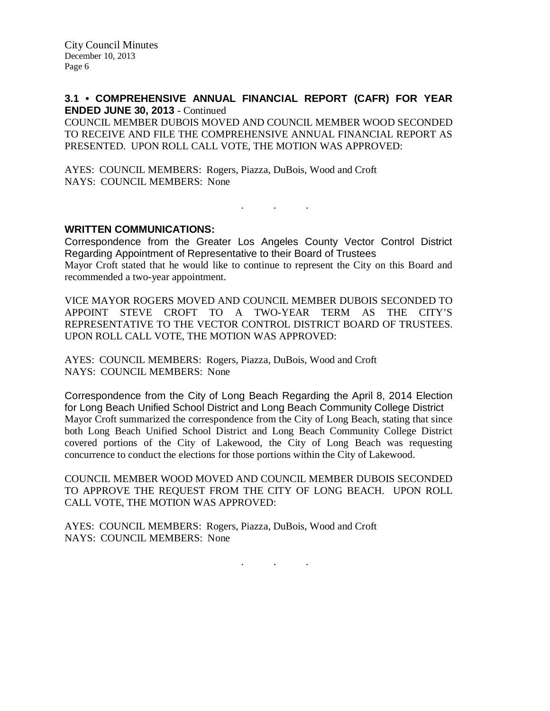#### **3.1 • COMPREHENSIVE ANNUAL FINANCIAL REPORT (CAFR) FOR YEAR ENDED JUNE 30, 2013** - Continued

COUNCIL MEMBER DUBOIS MOVED AND COUNCIL MEMBER WOOD SECONDED TO RECEIVE AND FILE THE COMPREHENSIVE ANNUAL FINANCIAL REPORT AS PRESENTED. UPON ROLL CALL VOTE, THE MOTION WAS APPROVED:

AYES: COUNCIL MEMBERS: Rogers, Piazza, DuBois, Wood and Croft NAYS: COUNCIL MEMBERS: None

#### **WRITTEN COMMUNICATIONS:**

Correspondence from the Greater Los Angeles County Vector Control District Regarding Appointment of Representative to their Board of Trustees Mayor Croft stated that he would like to continue to represent the City on this Board and recommended a two-year appointment.

. . .

VICE MAYOR ROGERS MOVED AND COUNCIL MEMBER DUBOIS SECONDED TO APPOINT STEVE CROFT TO A TWO-YEAR TERM AS THE CITY'S REPRESENTATIVE TO THE VECTOR CONTROL DISTRICT BOARD OF TRUSTEES. UPON ROLL CALL VOTE, THE MOTION WAS APPROVED:

AYES: COUNCIL MEMBERS: Rogers, Piazza, DuBois, Wood and Croft NAYS: COUNCIL MEMBERS: None

Correspondence from the City of Long Beach Regarding the April 8, 2014 Election for Long Beach Unified School District and Long Beach Community College District Mayor Croft summarized the correspondence from the City of Long Beach, stating that since both Long Beach Unified School District and Long Beach Community College District covered portions of the City of Lakewood, the City of Long Beach was requesting concurrence to conduct the elections for those portions within the City of Lakewood.

COUNCIL MEMBER WOOD MOVED AND COUNCIL MEMBER DUBOIS SECONDED TO APPROVE THE REQUEST FROM THE CITY OF LONG BEACH. UPON ROLL CALL VOTE, THE MOTION WAS APPROVED:

AYES: COUNCIL MEMBERS: Rogers, Piazza, DuBois, Wood and Croft NAYS: COUNCIL MEMBERS: None

. . .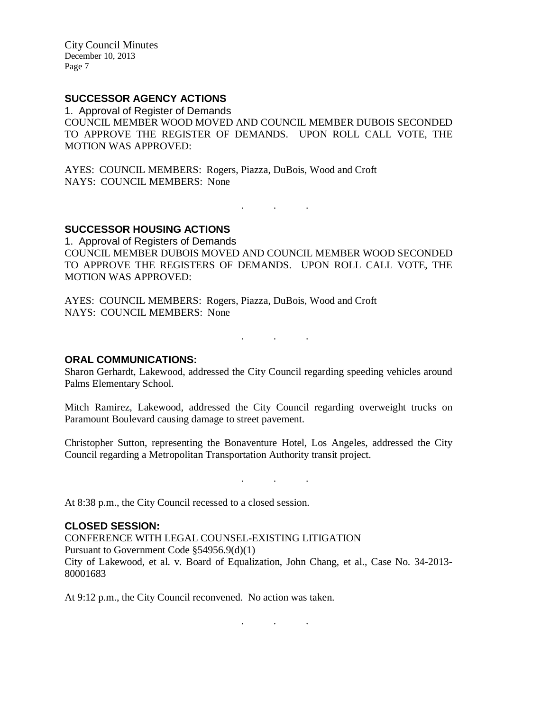# **SUCCESSOR AGENCY ACTIONS**

1. Approval of Register of Demands COUNCIL MEMBER WOOD MOVED AND COUNCIL MEMBER DUBOIS SECONDED TO APPROVE THE REGISTER OF DEMANDS. UPON ROLL CALL VOTE, THE MOTION WAS APPROVED:

AYES: COUNCIL MEMBERS: Rogers, Piazza, DuBois, Wood and Croft NAYS: COUNCIL MEMBERS: None

**SUCCESSOR HOUSING ACTIONS**

1. Approval of Registers of Demands COUNCIL MEMBER DUBOIS MOVED AND COUNCIL MEMBER WOOD SECONDED TO APPROVE THE REGISTERS OF DEMANDS. UPON ROLL CALL VOTE, THE MOTION WAS APPROVED:

. . .

AYES: COUNCIL MEMBERS: Rogers, Piazza, DuBois, Wood and Croft NAYS: COUNCIL MEMBERS: None

. . .

#### **ORAL COMMUNICATIONS:**

Sharon Gerhardt, Lakewood, addressed the City Council regarding speeding vehicles around Palms Elementary School.

Mitch Ramirez, Lakewood, addressed the City Council regarding overweight trucks on Paramount Boulevard causing damage to street pavement.

Christopher Sutton, representing the Bonaventure Hotel, Los Angeles, addressed the City Council regarding a Metropolitan Transportation Authority transit project.

. . .

At 8:38 p.m., the City Council recessed to a closed session.

#### **CLOSED SESSION:**

CONFERENCE WITH LEGAL COUNSEL-EXISTING LITIGATION Pursuant to Government Code §54956.9(d)(1) City of Lakewood, et al. v. Board of Equalization, John Chang, et al., Case No. 34-2013- 80001683

. . .

At 9:12 p.m., the City Council reconvened. No action was taken.